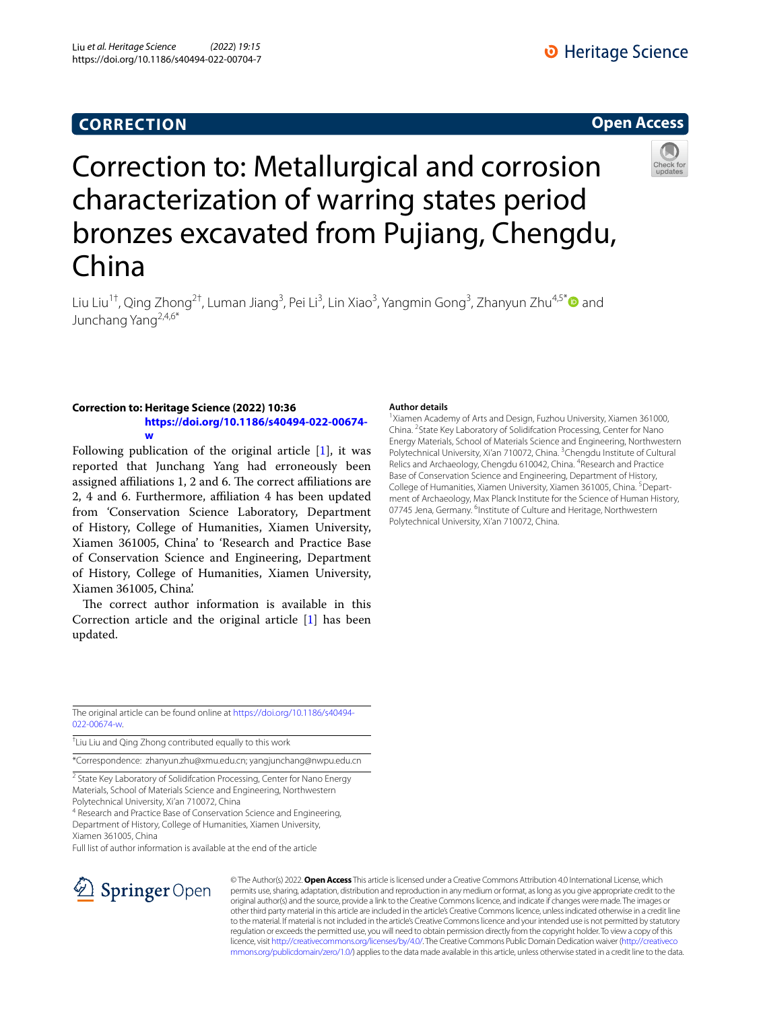## **CORRECTION**

### **Open Access**



# Correction to: Metallurgical and corrosion characterization of warring states period bronzes excavated from Pujiang, Chengdu, China

Liu Liu<sup>1†</sup>, Qing Zhong<sup>2†</sup>, Luman Jiang<sup>3</sup>, Pei Li<sup>3</sup>, Lin Xiao<sup>3</sup>, Yangmin Gong<sup>3</sup>, Zhanyun Zhu<sup>4,5\*</sup>❶ and Junchang Yang2,4,6\*

#### **Correction to: Heritage Science (2022) 10:36 [https://doi.org/10.1186/s40494-022-00674](https://doi.org/10.1186/s40494-022-00674-w) [w](https://doi.org/10.1186/s40494-022-00674-w)**

Following publication of the original article [\[1](#page-1-0)], it was reported that Junchang Yang had erroneously been assigned affiliations 1, 2 and 6. The correct affiliations are 2, 4 and 6. Furthermore, afliation 4 has been updated from 'Conservation Science Laboratory, Department of History, College of Humanities, Xiamen University, Xiamen 361005, China' to 'Research and Practice Base of Conservation Science and Engineering, Department of History, College of Humanities, Xiamen University, Xiamen 361005, China'.

The correct author information is available in this Correction article and the original article [[1\]](#page-1-0) has been updated.

#### **Author details**

<sup>1</sup>Xiamen Academy of Arts and Design, Fuzhou University, Xiamen 361000, China. <sup>2</sup> State Key Laboratory of Solidifcation Processing, Center for Nano Energy Materials, School of Materials Science and Engineering, Northwestern Polytechnical University, Xi'an 710072, China. <sup>3</sup>Chengdu Institute of Cultural Relics and Archaeology, Chengdu 610042, China. <sup>4</sup>Research and Practice Base of Conservation Science and Engineering, Department of History, College of Humanities, Xiamen University, Xiamen 361005, China. <sup>5</sup>Department of Archaeology, Max Planck Institute for the Science of Human History, 07745 Jena, Germany. <sup>6</sup>Institute of Culture and Heritage, Northwestern Polytechnical University, Xi'an 710072, China.

The original article can be found online at [https://doi.org/10.1186/s40494-](https://doi.org/10.1186/s40494-022-00674-w) [022-00674-w.](https://doi.org/10.1186/s40494-022-00674-w)

† Liu Liu and Qing Zhong contributed equally to this work

\*Correspondence: zhanyun.zhu@xmu.edu.cn; yangjunchang@nwpu.edu.cn

<sup>2</sup> State Key Laboratory of Solidifcation Processing, Center for Nano Energy Materials, School of Materials Science and Engineering, Northwestern Polytechnical University, Xi'an 710072, China

<sup>4</sup> Research and Practice Base of Conservation Science and Engineering, Department of History, College of Humanities, Xiamen University, Xiamen 361005, China

Full list of author information is available at the end of the article



© The Author(s) 2022. **Open Access** This article is licensed under a Creative Commons Attribution 4.0 International License, which permits use, sharing, adaptation, distribution and reproduction in any medium or format, as long as you give appropriate credit to the original author(s) and the source, provide a link to the Creative Commons licence, and indicate if changes were made. The images or other third party material in this article are included in the article's Creative Commons licence, unless indicated otherwise in a credit line to the material. If material is not included in the article's Creative Commons licence and your intended use is not permitted by statutory regulation or exceeds the permitted use, you will need to obtain permission directly from the copyright holder. To view a copy of this licence, visit [http://creativecommons.org/licenses/by/4.0/.](http://creativecommons.org/licenses/by/4.0/) The Creative Commons Public Domain Dedication waiver ([http://creativeco](http://creativecommons.org/publicdomain/zero/1.0/) [mmons.org/publicdomain/zero/1.0/](http://creativecommons.org/publicdomain/zero/1.0/)) applies to the data made available in this article, unless otherwise stated in a credit line to the data.